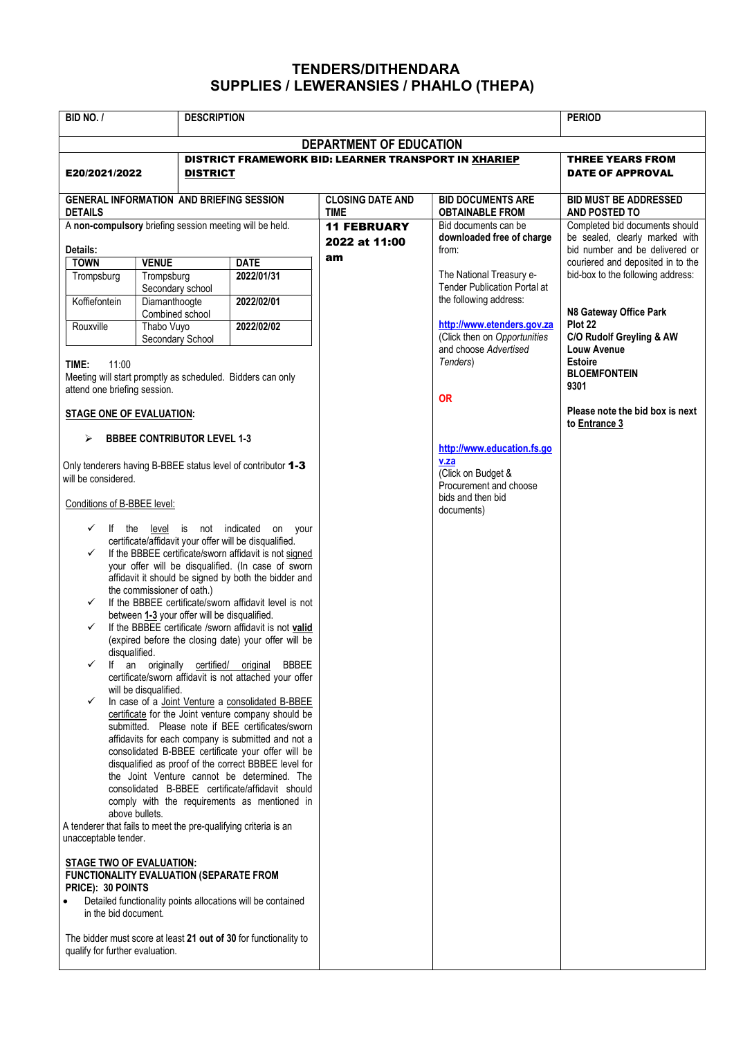## TENDERS/DITHENDARA SUPPLIES / LEWERANSIES / PHAHLO (THEPA)

| BID NO. /                                                                                                                                                                                                                                                                                                                                                                                                                                                                                                                                                                                                                                                                                                                                                                                                                                                                                                                                                                                                                                                                                                                                                                                                                                                                                           |                                   | <b>DESCRIPTION</b> |                                                             |                                                               | <b>PERIOD</b>                                                                                      |  |  |
|-----------------------------------------------------------------------------------------------------------------------------------------------------------------------------------------------------------------------------------------------------------------------------------------------------------------------------------------------------------------------------------------------------------------------------------------------------------------------------------------------------------------------------------------------------------------------------------------------------------------------------------------------------------------------------------------------------------------------------------------------------------------------------------------------------------------------------------------------------------------------------------------------------------------------------------------------------------------------------------------------------------------------------------------------------------------------------------------------------------------------------------------------------------------------------------------------------------------------------------------------------------------------------------------------------|-----------------------------------|--------------------|-------------------------------------------------------------|---------------------------------------------------------------|----------------------------------------------------------------------------------------------------|--|--|
| <b>DEPARTMENT OF EDUCATION</b>                                                                                                                                                                                                                                                                                                                                                                                                                                                                                                                                                                                                                                                                                                                                                                                                                                                                                                                                                                                                                                                                                                                                                                                                                                                                      |                                   |                    |                                                             |                                                               |                                                                                                    |  |  |
| E20/2021/2022                                                                                                                                                                                                                                                                                                                                                                                                                                                                                                                                                                                                                                                                                                                                                                                                                                                                                                                                                                                                                                                                                                                                                                                                                                                                                       | <b>DISTRICT</b>                   |                    | <b>DISTRICT FRAMEWORK BID: LEARNER TRANSPORT IN XHARIEP</b> | THREE YEARS FROM<br><b>DATE OF APPROVAL</b>                   |                                                                                                    |  |  |
| <b>GENERAL INFORMATION AND BRIEFING SESSION</b><br><b>DETAILS</b>                                                                                                                                                                                                                                                                                                                                                                                                                                                                                                                                                                                                                                                                                                                                                                                                                                                                                                                                                                                                                                                                                                                                                                                                                                   |                                   |                    | <b>CLOSING DATE AND</b><br><b>TIME</b>                      | <b>BID DOCUMENTS ARE</b><br><b>OBTAINABLE FROM</b>            | <b>BID MUST BE ADDRESSED</b><br><b>AND POSTED TO</b>                                               |  |  |
| A non-compulsory briefing session meeting will be held.<br>Details:                                                                                                                                                                                                                                                                                                                                                                                                                                                                                                                                                                                                                                                                                                                                                                                                                                                                                                                                                                                                                                                                                                                                                                                                                                 |                                   |                    | <b>11 FEBRUARY</b><br>2022 at 11:00                         | Bid documents can be<br>downloaded free of charge<br>from:    | Completed bid documents should<br>be sealed, clearly marked with<br>bid number and be delivered or |  |  |
| <b>TOWN</b>                                                                                                                                                                                                                                                                                                                                                                                                                                                                                                                                                                                                                                                                                                                                                                                                                                                                                                                                                                                                                                                                                                                                                                                                                                                                                         | <b>VENUE</b>                      | <b>DATE</b>        | am                                                          |                                                               | couriered and deposited in to the                                                                  |  |  |
| Trompsburg                                                                                                                                                                                                                                                                                                                                                                                                                                                                                                                                                                                                                                                                                                                                                                                                                                                                                                                                                                                                                                                                                                                                                                                                                                                                                          | Trompsburg                        | 2022/01/31         |                                                             | The National Treasury e-                                      | bid-box to the following address:                                                                  |  |  |
| Koffiefontein                                                                                                                                                                                                                                                                                                                                                                                                                                                                                                                                                                                                                                                                                                                                                                                                                                                                                                                                                                                                                                                                                                                                                                                                                                                                                       | Secondary school<br>Diamanthoogte | 2022/02/01         |                                                             | <b>Tender Publication Portal at</b><br>the following address: |                                                                                                    |  |  |
|                                                                                                                                                                                                                                                                                                                                                                                                                                                                                                                                                                                                                                                                                                                                                                                                                                                                                                                                                                                                                                                                                                                                                                                                                                                                                                     | Combined school                   |                    |                                                             | http://www.etenders.gov.za                                    | N8 Gateway Office Park<br>Plot 22                                                                  |  |  |
| Rouxville                                                                                                                                                                                                                                                                                                                                                                                                                                                                                                                                                                                                                                                                                                                                                                                                                                                                                                                                                                                                                                                                                                                                                                                                                                                                                           | Thabo Vuyo<br>Secondary School    | 2022/02/02         |                                                             | (Click then on Opportunities                                  | C/O Rudolf Greyling & AW                                                                           |  |  |
| TIME:<br>11:00<br>Meeting will start promptly as scheduled. Bidders can only                                                                                                                                                                                                                                                                                                                                                                                                                                                                                                                                                                                                                                                                                                                                                                                                                                                                                                                                                                                                                                                                                                                                                                                                                        |                                   |                    | and choose Advertised<br>Tenders)                           | Louw Avenue<br><b>Estoire</b><br><b>BLOEMFONTEIN</b><br>9301  |                                                                                                    |  |  |
| attend one briefing session.<br><b>STAGE ONE OF EVALUATION:</b>                                                                                                                                                                                                                                                                                                                                                                                                                                                                                                                                                                                                                                                                                                                                                                                                                                                                                                                                                                                                                                                                                                                                                                                                                                     |                                   |                    | <b>OR</b>                                                   | Please note the bid box is next                               |                                                                                                    |  |  |
| <b>BBBEE CONTRIBUTOR LEVEL 1-3</b><br>⋗                                                                                                                                                                                                                                                                                                                                                                                                                                                                                                                                                                                                                                                                                                                                                                                                                                                                                                                                                                                                                                                                                                                                                                                                                                                             |                                   |                    |                                                             |                                                               | to Entrance 3                                                                                      |  |  |
| Only tenderers having B-BBEE status level of contributor 1-3<br>will be considered.                                                                                                                                                                                                                                                                                                                                                                                                                                                                                                                                                                                                                                                                                                                                                                                                                                                                                                                                                                                                                                                                                                                                                                                                                 |                                   |                    |                                                             | http://www.education.fs.go<br>v.za                            |                                                                                                    |  |  |
|                                                                                                                                                                                                                                                                                                                                                                                                                                                                                                                                                                                                                                                                                                                                                                                                                                                                                                                                                                                                                                                                                                                                                                                                                                                                                                     |                                   |                    |                                                             | (Click on Budget &                                            |                                                                                                    |  |  |
|                                                                                                                                                                                                                                                                                                                                                                                                                                                                                                                                                                                                                                                                                                                                                                                                                                                                                                                                                                                                                                                                                                                                                                                                                                                                                                     |                                   |                    |                                                             | Procurement and choose                                        |                                                                                                    |  |  |
| Conditions of B-BBEE level:                                                                                                                                                                                                                                                                                                                                                                                                                                                                                                                                                                                                                                                                                                                                                                                                                                                                                                                                                                                                                                                                                                                                                                                                                                                                         |                                   |                    |                                                             | bids and then bid<br>documents)                               |                                                                                                    |  |  |
| $\checkmark$ If the level is not indicated on your<br>certificate/affidavit your offer will be disqualified.<br>If the BBBEE certificate/sworn affidavit is not signed<br>✓<br>your offer will be disqualified. (In case of sworn<br>affidavit it should be signed by both the bidder and<br>the commissioner of oath.)<br>If the BBBEE certificate/sworn affidavit level is not<br>✓<br>between 1-3 your offer will be disqualified.<br>If the BBBEE certificate /sworn affidavit is not valid<br>(expired before the closing date) your offer will be<br>disqualified.<br><b>BBBEE</b><br>If an originally certified/ original<br>certificate/sworn affidavit is not attached your offer<br>will be disqualified.<br>In case of a Joint Venture a consolidated B-BBEE<br>✓<br>certificate for the Joint venture company should be<br>submitted. Please note if BEE certificates/sworn<br>affidavits for each company is submitted and not a<br>consolidated B-BBEE certificate your offer will be<br>disqualified as proof of the correct BBBEE level for<br>the Joint Venture cannot be determined. The<br>consolidated B-BBEE certificate/affidavit should<br>comply with the requirements as mentioned in<br>above bullets.<br>A tenderer that fails to meet the pre-qualifying criteria is an |                                   |                    |                                                             |                                                               |                                                                                                    |  |  |
| unacceptable tender.<br><b>STAGE TWO OF EVALUATION:</b><br><b>FUNCTIONALITY EVALUATION (SEPARATE FROM</b><br>PRICE): 30 POINTS<br>Detailed functionality points allocations will be contained<br>$\bullet$<br>in the bid document.<br>The bidder must score at least 21 out of 30 for functionality to<br>qualify for further evaluation.                                                                                                                                                                                                                                                                                                                                                                                                                                                                                                                                                                                                                                                                                                                                                                                                                                                                                                                                                           |                                   |                    |                                                             |                                                               |                                                                                                    |  |  |